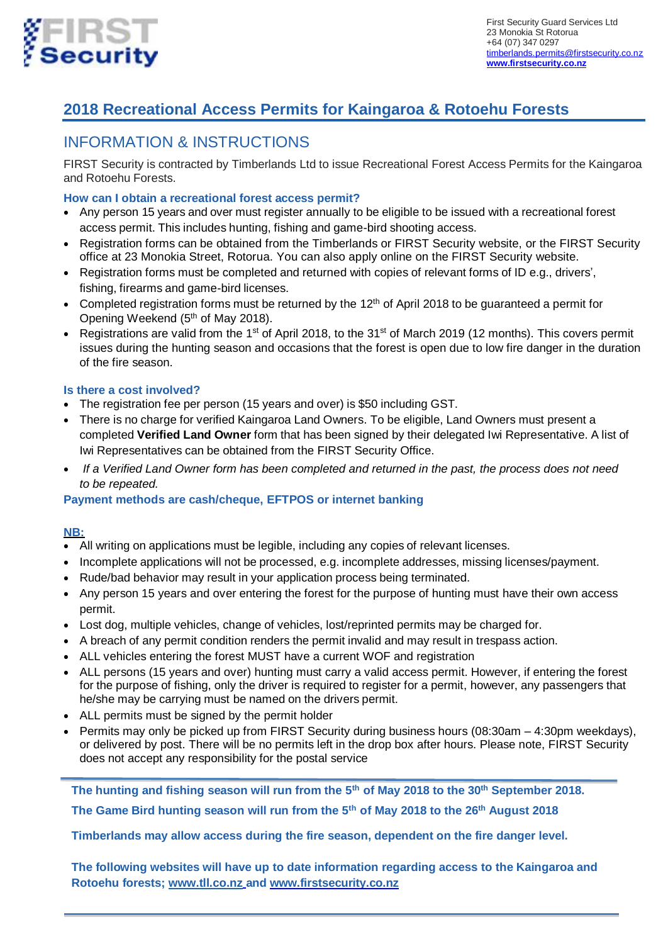

# **2018 Recreational Access Permits for Kaingaroa & Rotoehu Forests**

### INFORMATION & INSTRUCTIONS

FIRST Security is contracted by Timberlands Ltd to issue Recreational Forest Access Permits for the Kaingaroa and Rotoehu Forests.

### **How can I obtain a recreational forest access permit?**

- Any person 15 years and over must register annually to be eligible to be issued with a recreational forest access permit. This includes hunting, fishing and game-bird shooting access.
- Registration forms can be obtained from the Timberlands or FIRST Security website, or the FIRST Security office at 23 Monokia Street, Rotorua. You can also apply online on the FIRST Security website.
- Registration forms must be completed and returned with copies of relevant forms of ID e.g., drivers', fishing, firearms and game-bird licenses.
- Completed registration forms must be returned by the 12<sup>th</sup> of April 2018 to be guaranteed a permit for Opening Weekend (5<sup>th</sup> of May 2018).
- Registrations are valid from the 1<sup>st</sup> of April 2018, to the 31<sup>st</sup> of March 2019 (12 months). This covers permit issues during the hunting season and occasions that the forest is open due to low fire danger in the duration of the fire season.

### **Is there a cost involved?**

- The registration fee per person (15 years and over) is \$50 including GST.
- There is no charge for verified Kaingaroa Land Owners. To be eligible, Land Owners must present a completed **Verified Land Owner** form that has been signed by their delegated Iwi Representative. A list of Iwi Representatives can be obtained from the FIRST Security Office.
- *If a Verified Land Owner form has been completed and returned in the past, the process does not need to be repeated.*

### **Payment methods are cash/cheque, EFTPOS or internet banking**

### **NB:**

- All writing on applications must be legible, including any copies of relevant licenses.
- Incomplete applications will not be processed, e.g. incomplete addresses, missing licenses/payment.
- Rude/bad behavior may result in your application process being terminated.
- Any person 15 years and over entering the forest for the purpose of hunting must have their own access permit.
- Lost dog, multiple vehicles, change of vehicles, lost/reprinted permits may be charged for.
- A breach of any permit condition renders the permit invalid and may result in trespass action.
- ALL vehicles entering the forest MUST have a current WOF and registration
- ALL persons (15 years and over) hunting must carry a valid access permit. However, if entering the forest for the purpose of fishing, only the driver is required to register for a permit, however, any passengers that he/she may be carrying must be named on the drivers permit.
- ALL permits must be signed by the permit holder
- Permits may only be picked up from FIRST Security during business hours (08:30am 4:30pm weekdays), or delivered by post. There will be no permits left in the drop box after hours. Please note, FIRST Security does not accept any responsibility for the postal service

**The hunting and fishing season will run from the 5 th of May 2018 to the 30th September 2018.**

**The Game Bird hunting season will run from the 5 th of May 2018 to the 26th August 2018**

**Timberlands may allow access during the fire season, dependent on the fire danger level.**

**The following websites will have up to date information regarding access to the Kaingaroa and Rotoehu forests; [www.tll.co.nz](http://www.tll.co.nz/) an[d www.firstsecurity.co.nz](http://www.firstsecurity.co.nz/)**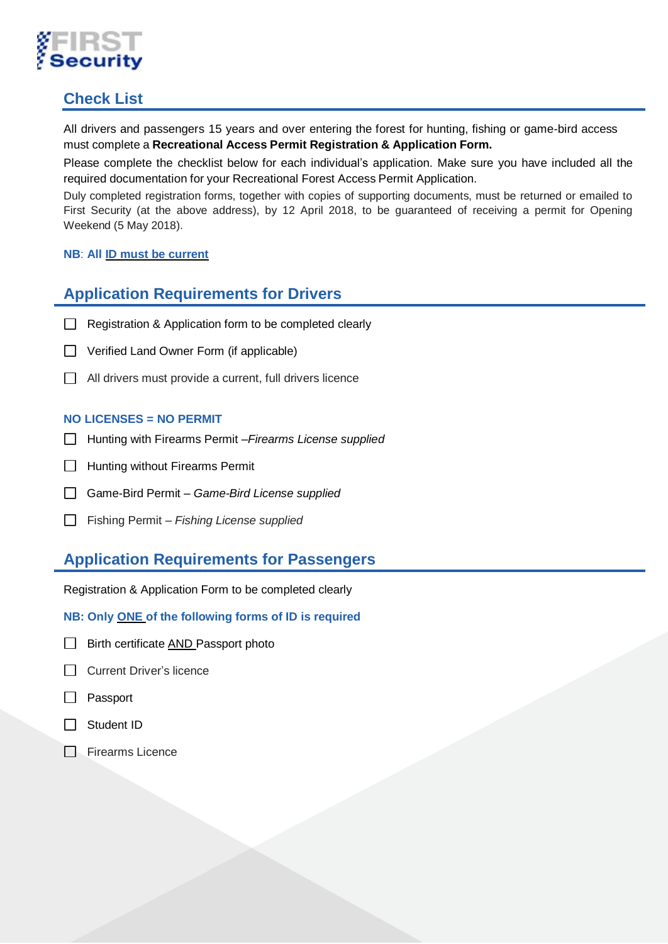

# **Check List**

All drivers and passengers 15 years and over entering the forest for hunting, fishing or game-bird access must complete a **Recreational Access Permit Registration & Application Form.**

Please complete the checklist below for each individual's application. Make sure you have included all the required documentation for your Recreational Forest Access Permit Application.

Duly completed registration forms, together with copies of supporting documents, must be returned or emailed to First Security (at the above address), by 12 April 2018, to be guaranteed of receiving a permit for Opening Weekend (5 May 2018).

### **NB**: **All ID must be current**

### **Application Requirements for Drivers**

- $\Box$  Registration & Application form to be completed clearly
- □ Verified Land Owner Form (if applicable)
- All drivers must provide a current, full drivers licence

### **NO LICENSES = NO PERMIT**

- Hunting with Firearms Permit –*Firearms License supplied*
- **1** Hunting without Firearms Permit
- Game-Bird Permit *Game-Bird License supplied*
- Fishing Permit *Fishing License supplied*

## **Application Requirements for Passengers**

Registration & Application Form to be completed clearly

### **NB: Only ONE of the following forms of ID is required**

- $\Box$  Birth certificate AND Passport photo
- □ Current Driver's licence
- □ Passport
- □ Student ID
- **Firearms Licence**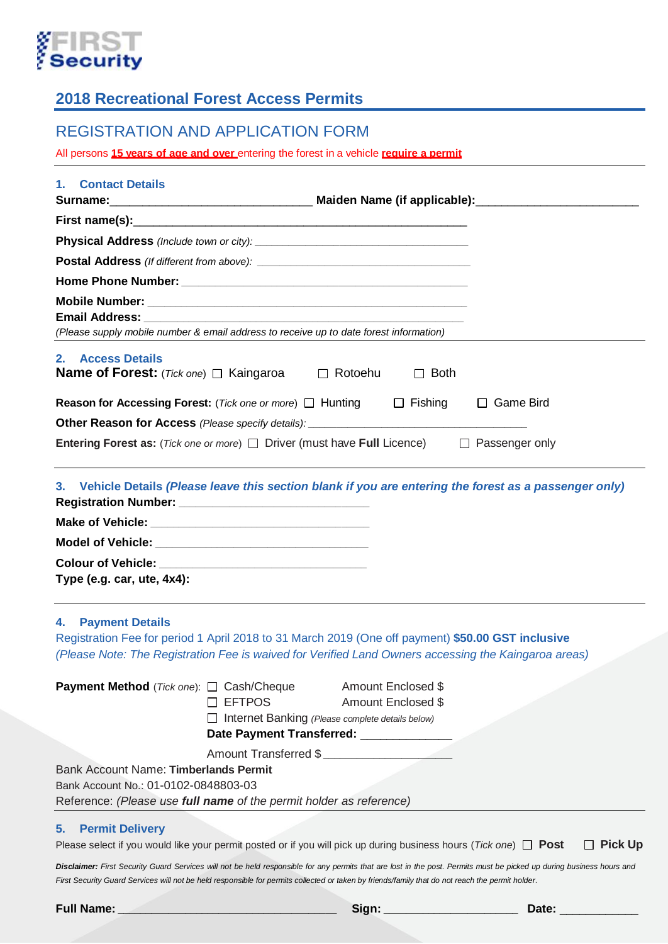# .<br>≸FIRST∛<br>≸Security

# **2018 Recreational Forest Access Permits**

### REGISTRATION AND APPLICATION FORM

All persons **15 years of age and over** entering the forest in a vehicle **require a permit**

| 1. Contact Details                                                                                                                                                                                                                  |                                                                                                                                                        |                |
|-------------------------------------------------------------------------------------------------------------------------------------------------------------------------------------------------------------------------------------|--------------------------------------------------------------------------------------------------------------------------------------------------------|----------------|
|                                                                                                                                                                                                                                     |                                                                                                                                                        |                |
|                                                                                                                                                                                                                                     |                                                                                                                                                        |                |
|                                                                                                                                                                                                                                     |                                                                                                                                                        |                |
|                                                                                                                                                                                                                                     |                                                                                                                                                        |                |
|                                                                                                                                                                                                                                     |                                                                                                                                                        |                |
|                                                                                                                                                                                                                                     |                                                                                                                                                        |                |
|                                                                                                                                                                                                                                     | (Please supply mobile number & email address to receive up to date forest information)                                                                 |                |
| 2. Access Details                                                                                                                                                                                                                   | <b>Name of Forest:</b> (Tick one) □ Kaingaroa □ Rotoehu<br>$\Box$ Both                                                                                 |                |
| <b>Reason for Accessing Forest:</b> (Tick one or more) $\Box$ Hunting $\Box$ Fishing $\Box$ Game Bird                                                                                                                               |                                                                                                                                                        |                |
|                                                                                                                                                                                                                                     | Other Reason for Access (Please specify details): ______________________________                                                                       |                |
| Entering Forest as: (Tick one or more) $\Box$ Driver (must have Full Licence) $\Box$ Passenger only                                                                                                                                 |                                                                                                                                                        |                |
|                                                                                                                                                                                                                                     | 3. Vehicle Details (Please leave this section blank if you are entering the forest as a passenger only)                                                |                |
|                                                                                                                                                                                                                                     |                                                                                                                                                        |                |
| Type (e.g. car, ute, 4x4):                                                                                                                                                                                                          |                                                                                                                                                        |                |
| <b>Payment Details</b><br>Registration Fee for period 1 April 2018 to 31 March 2019 (One off payment) \$50.00 GST inclusive<br>(Please Note: The Registration Fee is waived for Verified Land Owners accessing the Kaingaroa areas) |                                                                                                                                                        |                |
| <b>Payment Method</b> (Tick one): □ Cash/Cheque                                                                                                                                                                                     | Amount Enclosed \$<br><b>EFTPOS</b><br>Amount Enclosed \$<br>□ Internet Banking (Please complete details below)<br>Date Payment Transferred: _________ |                |
|                                                                                                                                                                                                                                     | Amount Transferred \$                                                                                                                                  |                |
| <b>Bank Account Name: Timberlands Permit</b><br>Bank Account No.: 01-0102-0848803-03                                                                                                                                                | Reference: (Please use full name of the permit holder as reference)                                                                                    |                |
| <b>Permit Delivery</b><br>5.                                                                                                                                                                                                        | Please select if you would like your permit posted or if you will pick up during business hours (Tick one) $\Box$ Post                                 | <b>Pick Up</b> |

Disclaimer: First Security Guard Services will not be held responsible for any permits that are lost in the post. Permits must be picked up during business hours and First Security Guard Services will not be held responsible for permits collected or taken by friends/family that do not reach the permit holder.